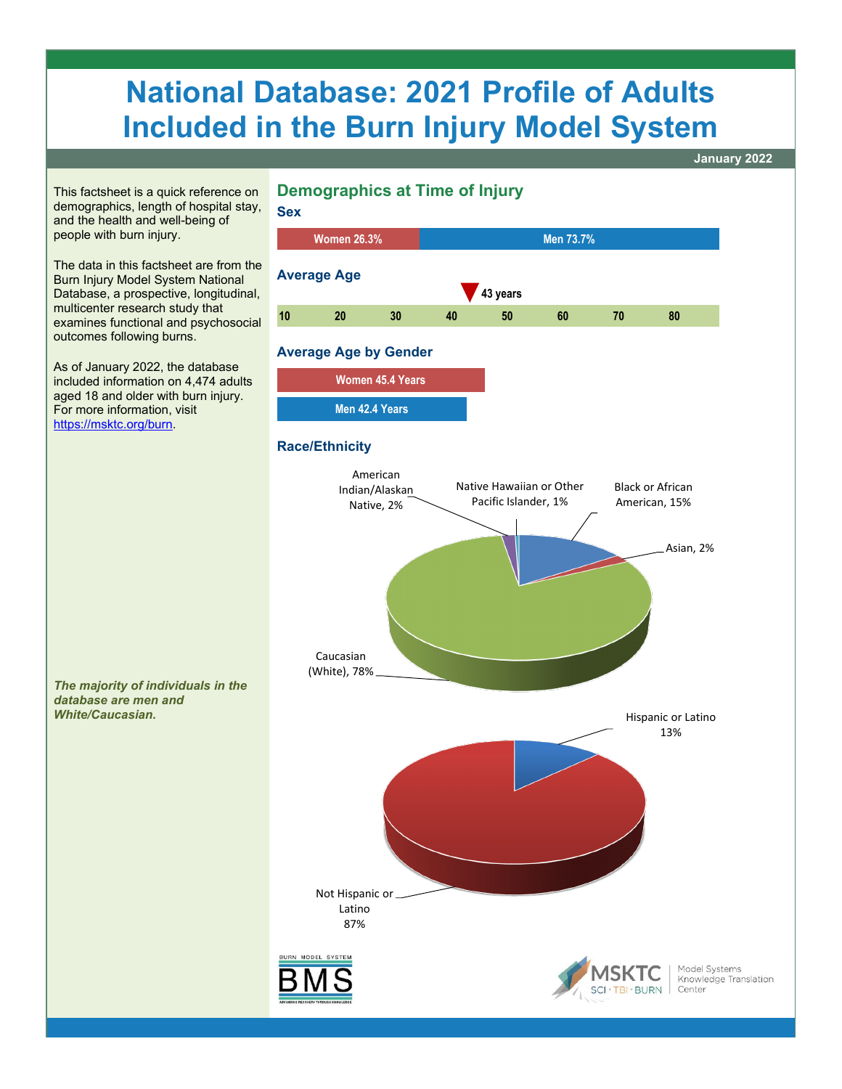# **National Database: 2021 Profile of Adults Included in the Burn Injury Model System**

**January 2022** 



demographics, length of hospital stay, and the health and well-being of people with burn injury.

The data in this factsheet are from the Burn Injury Model System National Database, a prospective, longitudinal, multicenter research study that examines functional and psychosocial outcomes following burns.

As of January 2022, the database included information on 4,474 adults aged 18 and older with burn injury. For more information, visit [https://msktc.org/burn.](https://msktc.org/burn)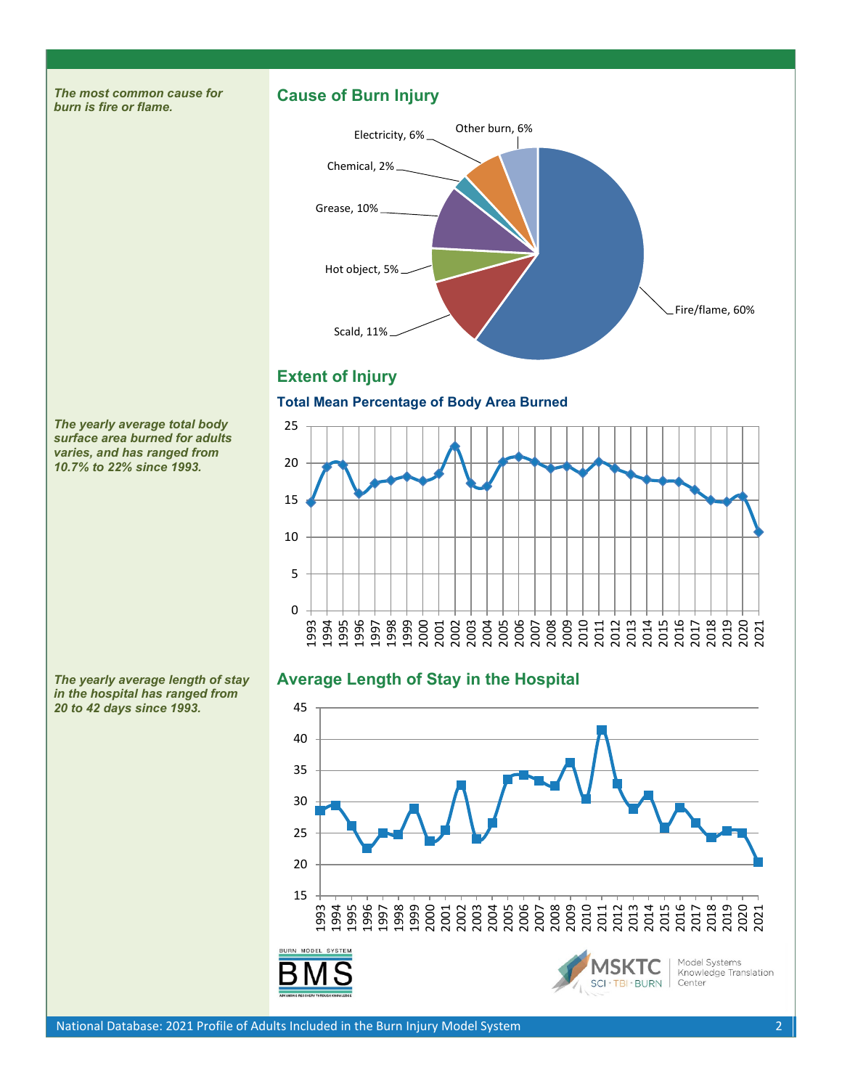# **Cause of Burn Injury**



# **Extent of Injury**

### **Total Mean Percentage of Body Area Burned**



# **Average Length of Stay in the Hospital**



*The yearly average total body surface area burned for adults varies, and has ranged from 10.7% to 22% since 1993.*

*The most common cause for* 

*burn is fire or flame.*

*The yearly average length of stay in the hospital has ranged from 20 to 42 days since 1993.*